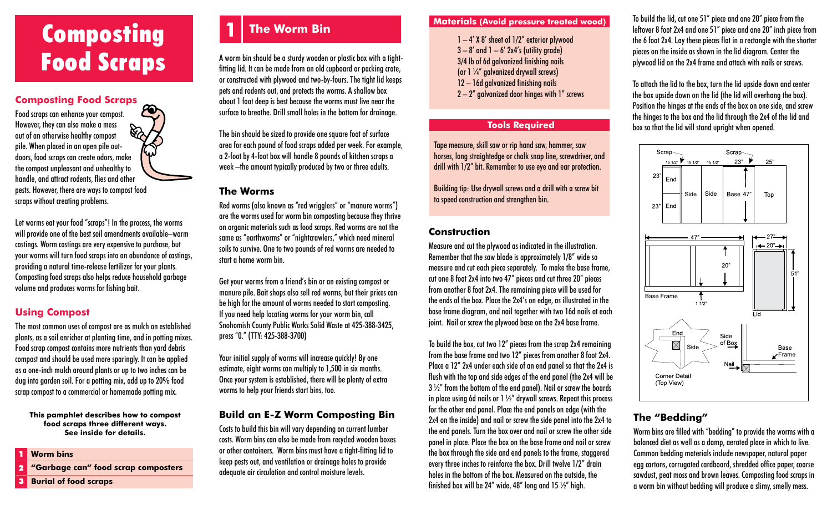# **Composting 1** The Worm Bin Materials (Avoid pressure treated wood) Food Scraps

#### **Composting Food Scraps**

Food scraps can enhance your compost. However, they can also make a mess **ES** out of an otherwise healthy compost pile. When placed in an open pile outdoors, food scraps can create odors, make the compost unpleasant and unhealthy to handle, and attract rodents, flies and other pests. However, there are ways to compost food scraps without creating problems.

Let worms eat your food "scraps"! In the process, the worms will provide one of the best soil amendments available–worm castings. Worm castings are very expensive to purchase, but your worms will turn food scraps into an abundance of castings, providing a natural time-release fertilizer for your plants. Composting food scraps also helps reduce household garbage volume and produces worms for fishing bait.

### **Using Compost**

The most common uses of compost are as mulch on established plants, as a soil enricher at planting time, and in potting mixes. Food scrap compost contains more nutrients than yard debris compost and should be used more sparingly. It can be applied as a one-inch mulch around plants or up to two inches can be dug into garden soil. For a potting mix, add up to 20% food scrap compost to a commercial or homemade potting mix.

**This pamphlet describes how to compost food scraps three different ways. See inside for details.**

#### **Worm bins**  1

**"Garbage can" food scrap composters**  2

## **1 The Worm Bin**

A worm bin should be a sturdy wooden or plastic box with a tightfitting lid. It can be made from an old cupboard or packing crate, or constructed with plywood and two-by-fours. The tight lid keeps pets and rodents out, and protects the worms. A shallow box about 1 foot deep is best because the worms must live near the surface to breathe. Drill small holes in the bottom for drainage.

The bin should be sized to provide one square foot of surface area for each pound of food scraps added per week. For example, a 2-foot by 4-foot box will handle 8 pounds of kitchen scraps a week –the amount typically produced by two or three adults.

#### **The Worms**

Red worms (also known as "red wrigglers" or "manure worms") are the worms used for worm bin composting because they thrive on organic materials such as food scraps. Red worms are not the same as "earthworms" or "nightcrawlers," which need mineral soils to survive. One to two pounds of red worms are needed to start a home worm bin.

Get your worms from a friend's bin or an existing compost or manure pile. Bait shops also sell red worms, but their prices can be high for the amount of worms needed to start composting. If you need help locating worms for your worm bin, call Snohomish County Public Works Solid Waste at 425-388-3425, press "0." (TTY: 425-388-3700)

Your initial supply of worms will increase quickly! By one estimate, eight worms can multiply to 1,500 in six months. Once your system is established, there will be plenty of extra worms to help your friends start bins, too.

#### **Build an E-Z Worm Composting Bin**

Costs to build this bin will vary depending on current lumber costs. Worm bins can also be made from recycled wooden boxes or other containers. Worm bins must have a tight-fitting lid to keep pests out, and ventilation or drainage holes to provide adequate air circulation and control moisture levels.

- $1 4'$  X 8' sheet of  $1/2''$  exterior plywood  $3 - 8'$  and  $1 - 6'$  2x4's (utility grade) 3/4 lb of 6d galvanized finishing nails (or  $1\frac{1}{4}$  galvanized drywall screws) 12 – 16d galvanized finishing nails
- 2 2" galvanized door hinges with 1" screws

#### **Tools Required**

Tape measure, skill saw or rip hand saw, hammer, saw horses, long straightedge or chalk snap line, screwdriver, and drill with 1/2" bit. Remember to use eye and ear protection.

Building tip: Use drywall screws and a drill with a screw bit to speed construction and strengthen bin.

#### **Construction**

Measure and cut the plywood as indicated in the illustration. Remember that the saw blade is approximately 1/8" wide so measure and cut each piece separately. To make the base frame, cut one 8 foot 2x4 into two 47" pieces and cut three 20" pieces from another 8 foot 2x4. The remaining piece will be used for the ends of the box. Place the 2x4's on edge, as illustrated in the base frame diagram, and nail together with two 16d nails at each joint. Nail or screw the plywood base on the 2x4 base frame.

To build the box, cut two 12" pieces from the scrap 2x4 remaining from the base frame and two 12" pieces from another 8 foot 2x4. Place a 12" 2x4 under each side of an end panel so that the 2x4 is flush with the top and side edges of the end panel (the 2x4 will be  $3\frac{1}{2}$  from the bottom of the end panel). Nail or screw the boards in place using 6d nails or  $1\frac{1}{2}$  drywall screws. Repeat this process for the other end panel. Place the end panels on edge (with the 2x4 on the inside) and nail or screw the side panel into the 2x4 to the end panels. Turn the box over and nail or screw the other side panel in place. Place the box on the base frame and nail or screw the box through the side and end panels to the frame, staggered every three inches to reinforce the box. Drill twelve 1/2" drain holes in the bottom of the box. Measured on the outside, the finished box will be 24" wide, 48" long and 15  $\frac{1}{2}$ " high.

To build the lid, cut one 51" piece and one 20" piece from the leftover 8 foot 2x4 and one 51" piece and one 20" inch piece from the 6 foot 2x4. Lay these pieces flat in a rectangle with the shorter pieces on the inside as shown in the lid diagram. Center the plywood lid on the 2x4 frame and attach with nails or screws.

To attach the lid to the box, turn the lid upside down and center the box upside down on the lid (the lid will overhang the box). Position the hinges at the ends of the box on one side, and screw the hinges to the box and the lid through the 2x4 of the lid and box so that the lid will stand upright when opened.



#### **The "Bedding"**

Worm bins are filled with "bedding" to provide the worms with a balanced diet as well as a damp, aerated place in which to live. Common bedding materials include newspaper, natural paper egg cartons, corrugated cardboard, shredded office paper, coarse sawdust, peat moss and brown leaves. Composting food scraps in a worm bin without bedding will produce a slimy, smelly mess.

**Burial of food scraps**  3